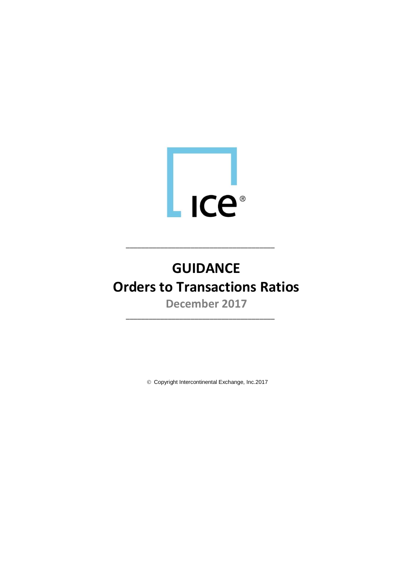

# **GUIDANCE Orders to Transactions Ratios**

\_\_\_\_\_\_\_\_\_\_\_\_\_\_\_\_\_\_\_\_\_\_\_\_\_\_\_\_\_\_\_\_\_\_\_\_\_\_\_

**December 2017**

\_\_\_\_\_\_\_\_\_\_\_\_\_\_\_\_\_\_\_\_\_\_\_\_\_\_\_\_\_\_\_\_\_\_\_\_\_\_\_

Copyright Intercontinental Exchange, Inc.2017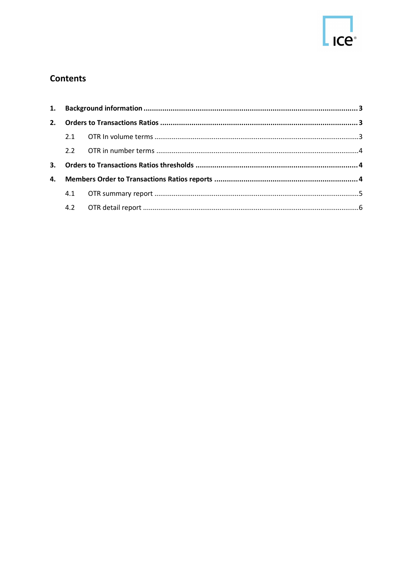

# **Contents**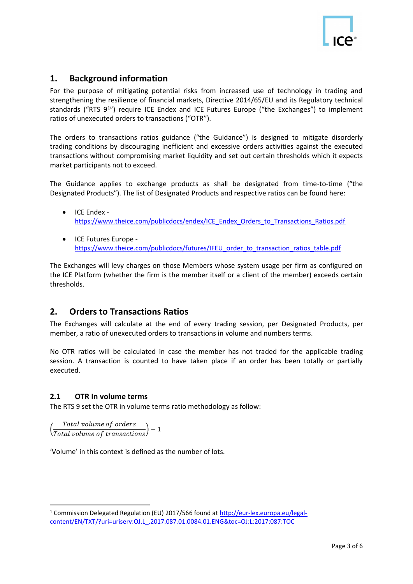

# <span id="page-2-0"></span>**1. Background information**

For the purpose of mitigating potential risks from increased use of technology in trading and strengthening the resilience of financial markets, Directive 2014/65/EU and its Regulatory technical standards ("RTS 9<sup>1</sup>") require ICE Endex and ICE Futures Europe ("the Exchanges") to implement ratios of unexecuted orders to transactions ("OTR").

The orders to transactions ratios guidance ("the Guidance") is designed to mitigate disorderly trading conditions by discouraging inefficient and excessive orders activities against the executed transactions without compromising market liquidity and set out certain thresholds which it expects market participants not to exceed.

The Guidance applies to exchange products as shall be designated from time-to-time ("the Designated Products"). The list of Designated Products and respective ratios can be found here:

- ICE Endex [https://www.theice.com/publicdocs/endex/ICE\\_Endex\\_Orders\\_to\\_Transactions\\_Ratios.pdf](https://www.theice.com/publicdocs/endex/ICE_Endex_Orders_to_Transactions_Ratios.pdf)
- ICE Futures Europe [https://www.theice.com/publicdocs/futures/IFEU\\_order\\_to\\_transaction\\_ratios\\_table.pdf](https://www.theice.com/publicdocs/futures/IFEU_order_to_transaction_ratios_table.pdf)

The Exchanges will levy charges on those Members whose system usage per firm as configured on the ICE Platform (whether the firm is the member itself or a client of the member) exceeds certain thresholds.

# <span id="page-2-1"></span>**2. Orders to Transactions Ratios**

The Exchanges will calculate at the end of every trading session, per Designated Products, per member, a ratio of unexecuted orders to transactions in volume and numbers terms.

No OTR ratios will be calculated in case the member has not traded for the applicable trading session. A transaction is counted to have taken place if an order has been totally or partially executed.

#### <span id="page-2-2"></span>**2.1 OTR In volume terms**

The RTS 9 set the OTR in volume terms ratio methodology as follow:

 $\left(\frac{Total volume of orders}{Total volume of transactions}\right) - 1$ 

.

'Volume' in this context is defined as the number of lots.

<sup>1</sup> Commission Delegated Regulation (EU) 2017/566 found at [http://eur-lex.europa.eu/legal](http://eur-lex.europa.eu/legal-content/EN/TXT/?uri=uriserv:OJ.L_.2017.087.01.0084.01.ENG&toc=OJ:L:2017:087:TOC)[content/EN/TXT/?uri=uriserv:OJ.L\\_.2017.087.01.0084.01.ENG&toc=OJ:L:2017:087:TOC](http://eur-lex.europa.eu/legal-content/EN/TXT/?uri=uriserv:OJ.L_.2017.087.01.0084.01.ENG&toc=OJ:L:2017:087:TOC)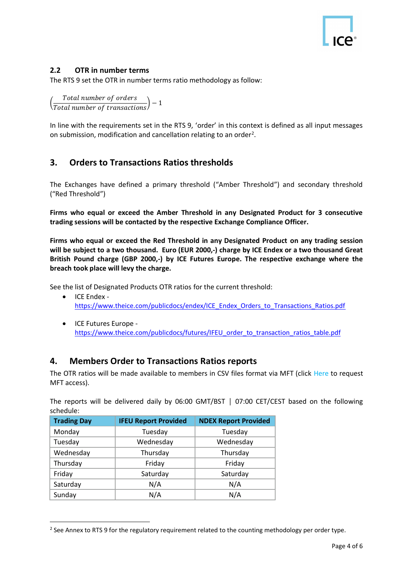### <span id="page-3-0"></span>**2.2 OTR in number terms**

The RTS 9 set the OTR in number terms ratio methodology as follow:

 $\left(\frac{Total\ number\ of\ orders}{Total\ number\ of\ transactions}\right) - 1$ 

In line with the requirements set in the RTS 9, 'order' in this context is defined as all input messages on submission, modification and cancellation relating to an order<sup>2</sup>.

# <span id="page-3-1"></span>**3. Orders to Transactions Ratios thresholds**

The Exchanges have defined a primary threshold ("Amber Threshold") and secondary threshold ("Red Threshold")

**Firms who equal or exceed the Amber Threshold in any Designated Product for 3 consecutive trading sessions will be contacted by the respective Exchange Compliance Officer.**

**Firms who equal or exceed the Red Threshold in any Designated Product on any trading session will be subject to a two thousand. Euro (EUR 2000,-) charge by ICE Endex or a two thousand Great British Pound charge (GBP 2000,-) by ICE Futures Europe. The respective exchange where the breach took place will levy the charge.**

See the list of Designated Products OTR ratios for the current threshold:

- ICE Endex [https://www.theice.com/publicdocs/endex/ICE\\_Endex\\_Orders\\_to\\_Transactions\\_Ratios.pdf](https://www.theice.com/publicdocs/endex/ICE_Endex_Orders_to_Transactions_Ratios.pdf)
- ICE Futures Europe [https://www.theice.com/publicdocs/futures/IFEU\\_order\\_to\\_transaction\\_ratios\\_table.pdf](https://www.theice.com/publicdocs/futures/IFEU_order_to_transaction_ratios_table.pdf)

# <span id="page-3-2"></span>**4. Members Order to Transactions Ratios reports**

The OTR ratios will be made available to members in CSV files format via MFT (click Here to request MFT access).

| The reports will be delivered daily by 06:00 GMT/BST $\mid$ 07:00 CET/CEST based on the following<br>schedule: | <b>Trading Day</b> | <b>IFFII Renort Provided</b> | NDEX Renort Provided |  |  |
|----------------------------------------------------------------------------------------------------------------|--------------------|------------------------------|----------------------|--|--|
|                                                                                                                |                    |                              |                      |  |  |

| <b>Trading Day</b> | <b>IFEU Report Provided</b> | <b>NDEX Report Provided</b> |
|--------------------|-----------------------------|-----------------------------|
| Monday             | Tuesday                     | Tuesday                     |
| Tuesday            | Wednesday                   | Wednesday                   |
| Wednesday          | Thursday                    | Thursday                    |
| Thursday           | Friday                      | Friday                      |
| Friday             | Saturday                    | Saturday                    |
| Saturday           | N/A                         | N/A                         |
| Sunday             | N/A                         | N/A                         |

.

<sup>&</sup>lt;sup>2</sup> See Annex to RTS 9 for the regulatory requirement related to the counting methodology per order type.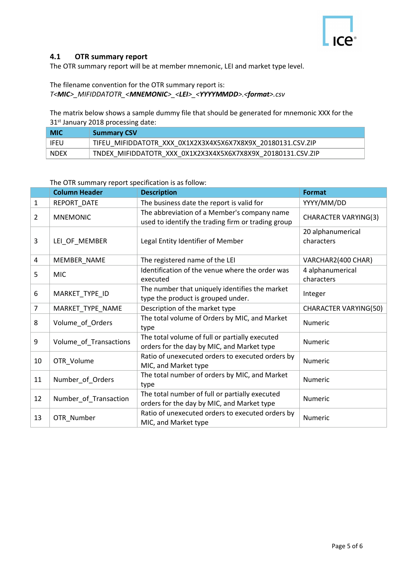

#### <span id="page-4-0"></span>**4.1 OTR summary report**

The OTR summary report will be at member mnemonic, LEI and market type level.

# The filename convention for the OTR summary report is:

*T<MIC>\_MIFIDDATOTR\_<MNEMONIC>\_<LEI>\_<YYYYMMDD>.<format>.csv*

The matrix below shows a sample dummy file that should be generated for mnemonic XXX for the 31st January 2018 processing date:

| <b>MIC</b> | <b>Summary CSV</b>                                          |
|------------|-------------------------------------------------------------|
| IFEU       | TIFEU MIFIDDATOTR XXX 0X1X2X3X4X5X6X7X8X9X 20180131.CSV.ZIP |
| NDEX       | TNDEX MIFIDDATOTR XXX 0X1X2X3X4X5X6X7X8X9X 20180131.CSV.ZIP |

#### The OTR summary report specification is as follow:

|                | <b>Column Header</b>   | <b>Description</b>                                                                                | <b>Format</b>                   |
|----------------|------------------------|---------------------------------------------------------------------------------------------------|---------------------------------|
| 1              | REPORT_DATE            | The business date the report is valid for                                                         | YYYY/MM/DD                      |
| $\overline{2}$ | <b>MNEMONIC</b>        | The abbreviation of a Member's company name<br>used to identify the trading firm or trading group | <b>CHARACTER VARYING(3)</b>     |
| 3              | LEI_OF_MEMBER          | Legal Entity Identifier of Member                                                                 | 20 alphanumerical<br>characters |
| 4              | MEMBER_NAME            | The registered name of the LEI                                                                    | VARCHAR2(400 CHAR)              |
| 5              | <b>MIC</b>             | Identification of the venue where the order was<br>executed                                       | 4 alphanumerical<br>characters  |
| 6              | MARKET_TYPE_ID         | The number that uniquely identifies the market<br>type the product is grouped under.              | Integer                         |
| $\overline{7}$ | MARKET_TYPE_NAME       | Description of the market type                                                                    | <b>CHARACTER VARYING(50)</b>    |
| 8              | Volume_of_Orders       | The total volume of Orders by MIC, and Market<br>type                                             | Numeric                         |
| 9              | Volume_of_Transactions | The total volume of full or partially executed<br>orders for the day by MIC, and Market type      | <b>Numeric</b>                  |
| 10             | OTR_Volume             | Ratio of unexecuted orders to executed orders by<br>MIC, and Market type                          | Numeric                         |
| 11             | Number_of_Orders       | The total number of orders by MIC, and Market<br>type                                             | Numeric                         |
| 12             | Number_of_Transaction  | The total number of full or partially executed<br>orders for the day by MIC, and Market type      | Numeric                         |
| 13             | OTR_Number             | Ratio of unexecuted orders to executed orders by<br>MIC, and Market type                          | Numeric                         |